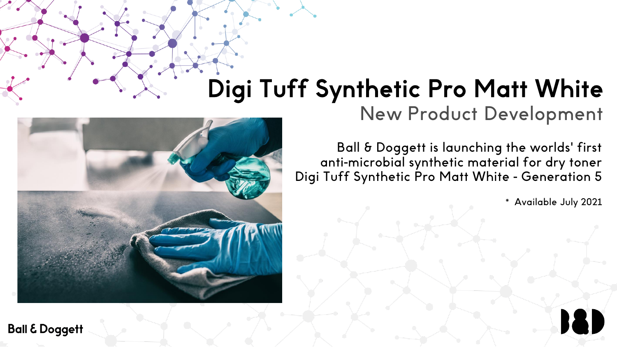# Digi Tuff Synthetic Pro Matt White

New Product Development

Ball & Doggett is launching the worlds' first anti-microbial synthetic material for dry toner Digi Tuff Synthetic Pro Matt White - Generation 5

\* Available July 2021

18



**Ball & Doggett**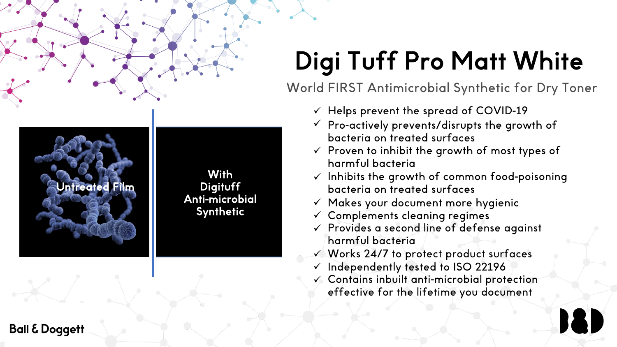# Digi Tuff Pro Matt White

World FIRST Antimicrobial Synthetic for Dry Toner

- $\checkmark$  Helps prevent the spread of COVID-19
- $\checkmark$  Pro-actively prevents/disrupts the growth of bacteria on treated surfaces
- $\checkmark$  Proven to inhibit the growth of most types of harmful bacteria
- $\checkmark$  Inhibits the growth of common food-poisoning bacteria on treated surfaces
- $\checkmark$  Makes your document more hygienic
- $\checkmark$  Complements cleaning regimes
- $\checkmark$  Provides a second line of defense against harmful bacteria
- $\checkmark$  Works 24/7 to protect product surfaces
- $\checkmark$  Independently tested to ISO 22196
- $\checkmark$  Contains inbuilt anti-microbial protection effective for the lifetime you document